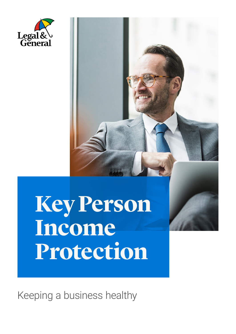

## **Key Person Income Protection**

Keeping a business healthy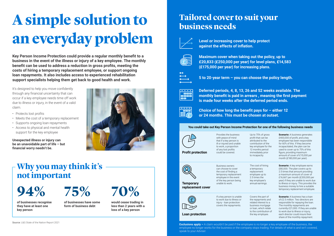# **A simple solution to an everyday problem**

## **Tailored cover to suit your business needs**



**Key Person Income Protection could provide a regular monthly benefit to a business in the event of the illness or injury of a key employee. The monthly benefit can be used to address a reduction in gross profits, meeting the costs of hiring a temporary replacement employee, or support ongoing loan repayments. It also includes access to experienced rehabilitation support specialists helping them get back to good health and work.** 

It's designed to help you move confidently through any financial uncertainty that can occur if a key employee needs time off work due to illness or injury, in the event of a valid claim.

- Protects lost profits
- Meets the cost of a temporary replacement
- Supports ongoing loan repayments
- Access to physical and mental health support for the key employee

**Unexpected illness or injury can be an unavoidable part of life – but financial worry needn't be.**



## **Why you may think it's not important**

**94%**

**of businesses recognise they have at least one** 



**key person**

**of businesses have some form of business debt** 

**would cease trading in less than 2 years with a loss of a key person**



**Level or increasing cover to help protect against the effects of inflation.**



**Maximum cover when taking out the policy, up to £20,833 (£250,000 per year) for level plans, £14,583 (£175,000 per year) for increasing plans.**



**5 to 20-year term – you can choose the policy length.**



**Scenario:** A key employee earns £80,000. The plan covers up to 2.5 times that amount providing a maximum amount of cover of £16,667 per month (£200,000 per year) if they are unable to work due to illness or injury. This provides the business money to hire a suitable temporary replacement employee.

**Deferred periods, 4, 8, 13, 26 and 52 weeks available. The monthly benefit is paid in arrears , meaning the first payment is made four weeks after the deferred period ends.**



**Choice of how long the benefit pays for – either 12 or 24 months. This must be chosen at outset.**

**Scenario:** A business has a loan of £2.5 million. Two directors are responsible for repaying the loan. The monthly repayments are currently £21,000. If they are unable to work due to illness or injury, each director could insure their share of the monthly repayment.

#### **You could take out Key Person Income Protection for one of the following business needs**



**Profit protection**



**Exclusions apply –** A claim wouldn't be paid if the employee is no longer a key employee of the business, the employee no longer works for the business or the company stops trading. For details of what is and isn't covered, speak to your Adviser.

Provides the business with peace of mind that if a key person is ill or injured and unable to work, a proportion of any lost profits could be covered.

Up to 75% of gross profit that can be attributed to the contribution of the key employee for the 12 months period immediately prior to incapacity.

**Scenario:** A business generates £400,000 of profit, and a key employee has been responsible for 60% of this. If they become incapacitated, the plan can be used to cover up to 75% of this figure, providing maximum amount of cover of £15,000 per month (£180,000 per year).

**Temporary replacement cover**



Business owners can choose to cover the cost of finding a temporary replacement employee in the event of the key person being unable to work.

The cost of hiring a temporary replacement employee up to 2.5 times the key employee's annual earnings.

**Loan protection**

If a key person is unable to work due to illness or injury - loan protection covers the repayments.

Covers the part of the repayments and related interest to a business mortgage or loan, which relate to the contribution of the key employee.